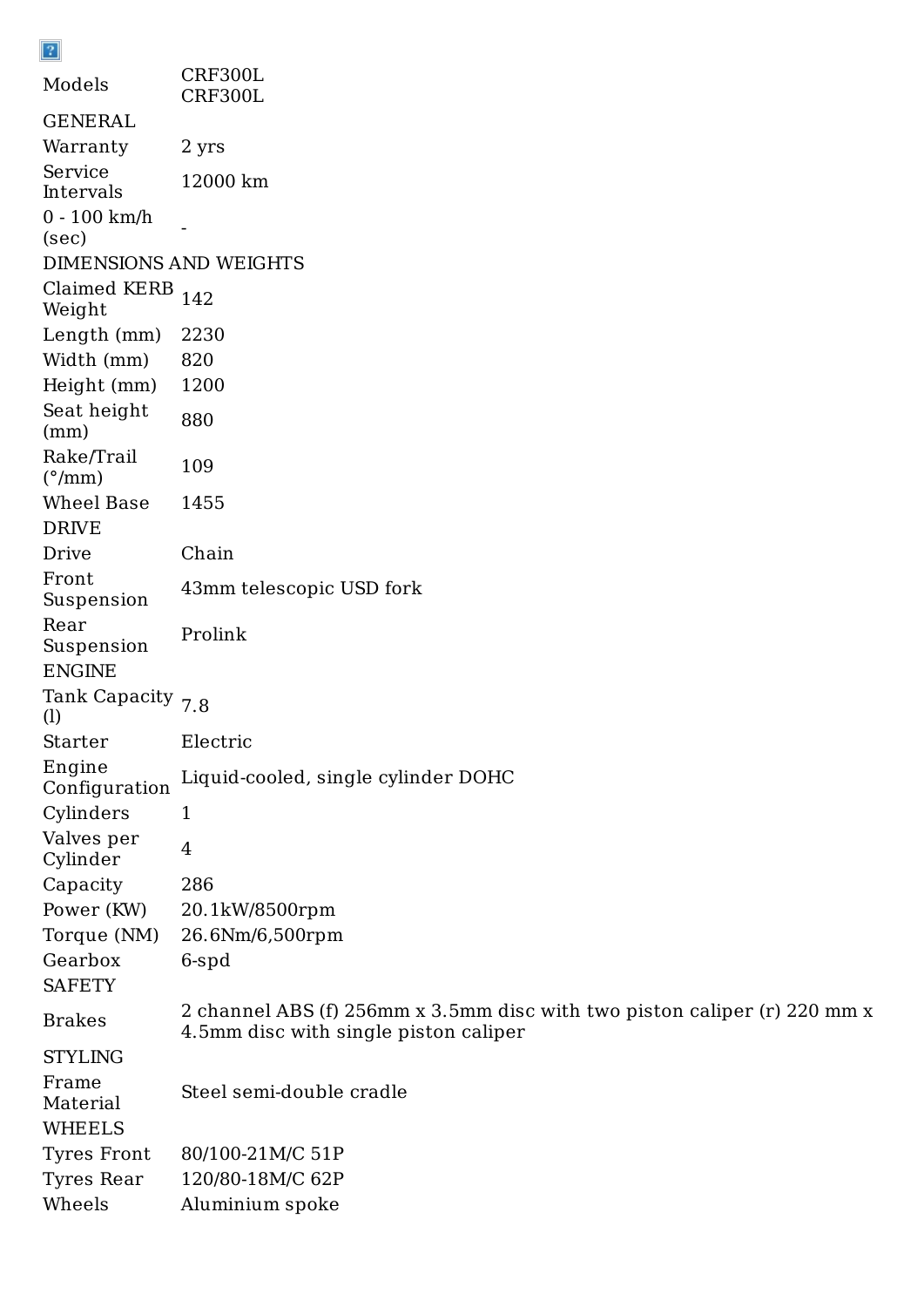| Models                               | CRF300L<br>CRF300L                  |
|--------------------------------------|-------------------------------------|
| GENERAL                              |                                     |
| Warranty                             | 2 yrs                               |
| Service<br>Intervals                 | 12000 km                            |
| $0 - 100$ km/h<br>(sec)              |                                     |
| DIMENSIONS AND WEIGHTS               |                                     |
| Claimed KERB<br>Weight               | 142                                 |
| Length (mm)                          | 2230                                |
| Width (mm)                           | 820                                 |
| Height (mm)                          | 1200                                |
| Seat height<br>(mm)                  | 880                                 |
| Rake/Trail<br>$(^{\circ}/\text{mm})$ | 109                                 |
| Wheel Base                           | 1455                                |
| <b>DRIVE</b>                         |                                     |
| Drive                                | Chain                               |
| Front<br>Suspension                  | 43mm telescopic USD fork            |
| Rear<br>Suspension<br><b>ENGINE</b>  | Prolink                             |
| Tank Capacity 7.8<br>(1)             |                                     |
| <b>Starter</b>                       | Electric                            |
| Engine<br>Configuration              | Liquid-cooled, single cylinder DOHC |
| Cylinders                            | 1                                   |
| Valves per<br>Cylinder               | 4                                   |
| Capacity                             | 286                                 |
| Power (KW)                           | 20.1kW/8500rpm                      |
| Torque (NM)                          | 26.6Nm/6,500rpm                     |
| Gearbox                              | 6-spd                               |
|                                      |                                     |

SAFETY

 $\boxed{2}$ 

Brakes

2 channel ABS (f) 256mm x 3.5mm disc with two piston caliper (r) 220 mm x 4.5mm disc with single piston caliper

STYLING

Frame Material Steel semi-double cradle WHEELS Tyres Front 80/100-21M/C 51P Tyres Rear 120/80-18M/C 62P Wheels Aluminium spoke